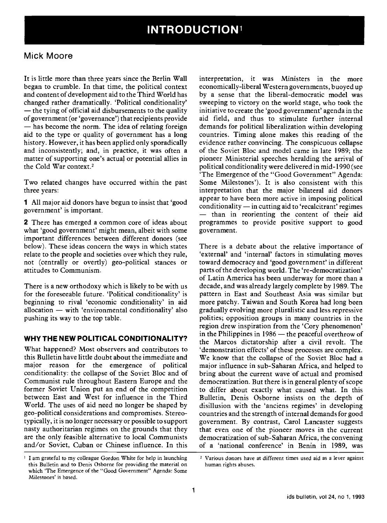# Mick Moore

It is little more than three years since the Berlin Wall began to crumble. In that time, the political context and content of development aid to the Third World has changed rather dramatically. 'Political conditionality' - the tying of official aid disbursements to the quality of government (or 'governance') that recipients provide - has become the norm. The idea of relating foreign aid to the type or quality of government has a long history. However, it has been applied only sporadically and inconsistently; and, in practice, it was often a matter of supporting one's actual or potential allies in the Cold War context.2

Two related changes have occurred within the past three years:

1 All major aid donors have begun to insist that 'good<br>conditionality — in cutting aid to 'recalcitrant' regimes government' is important.

2 There has emerged a common core of ideas about what 'good government' might mean, albeit with some important differences between different donors (see below). These ideas concern the ways in which states relate to the people and societies over which they rule, not (centrally or overtly) geo-political stances or attitudes to Communism.

There is a new orthodoxy which is likely to be with us for the foreseeable future. 'Political conditionality' is beginning to rival 'economic conditionality' in aid allocation  $-$  with 'environmental conditionality' also pushing its way to the top table.

#### WHY THE NEW POLITICAL CONDITIONALITY?

What happened? Most observers and contributors to this Bulletin have little doubt about the immediate and major reason for the emergence of political conditionality: the collapse of the Soviet Bloc and of Communist rule throughout Eastern Europe and the former Soviet Union put an end of the competition between East and West for influence in the Third World. The uses of aid need no longer be shaped by geo-political considerations and compromises. Stereotypically, it is no longer necessary or possible to support nasty authoritarian regimes on the grounds that they are the only feasible alternative to local Communists and/or Soviet, Cuban or Chinese influence. In this

<sup>1</sup> I am grateful to my colleague Gordon White for help in launching this Bulletin and to Denis Osborne for providing the material on which The Emergence of the "Good Government" Agenda: Some Milestones' is based.

interpretation, it was Ministers in the more economically-liberal Western governments, buoyed up by a sense that the liberal-democratic model was sweeping to victory on the world stage, who took the initiative to create the 'good government' agenda in the aid field, and thus to stimulate further internal demands for political liberalization within developing countries. Timing alone makes this reading of the evidence rather convincing. The conspicuous collapse of the Soviet Bloc and model came in late 1989; the pioneer Ministerial speeches heralding the arrival of political conditionality were delivered in mid-1990 (see 'The Emergence of the "Good Government" Agenda: Some Milestones'). It is also consistent with this interpretation that the major bilateral aid donors appear to have been more active in imposing political - than in reorienting the content of their aid programmes to provide positive support to good government.

There is a debate about the relative importance of 'external' and 'internal' factors in stimulating moves toward democracy and 'good government' in different parts of the developing world. The 're-democratization' of Latin America has been underway for more than a decade, and was already largely complete by 1989. The pattern in East and Southeast Asia was similar but more patchy. Taiwan and South Korea had long been gradually evolving more pluralistic and less repressive polities; opposition groups in many countries in the region drew inspiration from the 'Cory phenomenon' in the Philippines in  $1986$  - the peaceful overthrow of the Marcos dictatorship after a civil revolt. The 'demonstration effects' of these processes are complex. We know that the collapse of the Soviet Bloc had a major influence in sub-Saharan Africa, and helped to bring about the current wave of actual and promised democratization. But there is in general plenty of scope to differ about exactly what caused what. In this Bulletin, Denis Osborne insists on the depth of disillusion with the 'anciens regimes' in developing countries and the strength of internal demands for good government. By contrast, Carol Lancaster suggests that even one of the pioneer moves in the current democratization of sub-Saharan Africa, the convening of a 'national conference' in Benin in 1989, was

<sup>2</sup> Various donors have at different times used aid as a lever against human rights abuses.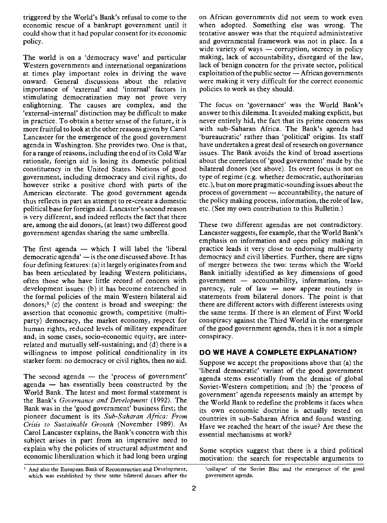triggered by the World's Bank's refusal to come to the economic rescue of a bankrupt government until it could show that it had popular consent for its economic policy.

The world is on a 'democracy wave' and particular Western governments and international organizations at times play important roles in driving the wave onward. General discussions about the relative importance of 'external' and 'internal' factors in stimulating democratization may not prove very enlightening. The causes are complex, and the 'external-internal' distinction may be difficult to make in practice. To obtain a better sense of the future, it is more fruitful to look at the other reasons given by Carol Lancaster for the emergence of the good government agenda in Washington. She provides two. One is that, for a range of reasons, including the end of its Cold War rationale, foreign aid is losing its domestic political constituency in the United States. Notions of good government, including democracy and civil rights, do however strike a positive chord with parts of the American electorate. The good government agenda thus reflects in part an attempt to re-create a domestic political base for foreign aid. Lancaster's second reason is very different, and indeed reflects the fact that there are, among the aid donors, (at least) two different good government agendas sharing the same umbrella.

The first agenda  $-$  which I will label the 'liberal democratic agenda' - is the one discussed above. It has four defining features: (a) it largely originates from and has been articulated by leading Western politicians, Bank initially identified as key dimensions of good often those who have little record of concern with government — accountability, information, transoften those who have little record of concern with development issues: (b) it has become entrenched in the formal policies of the main Western bilateral aid donors;3 (c) the content is broad and sweeping: the assertion that economic growth, competitive (multiparty) democracy, the market economy, respect for human rights, reduced levels of military expenditure and, in some cases, socio-economic equity, are interrelated and mutually self-sustaining; and (d) there is a willingness to impose political conditionality in its starker form: no democracy or civil rights, then no aid.

The second agenda  $-$  the 'process of government' agenda  $-$  has essentially been constructed by the World Bank. The latest and most formal statement is the Bank's Governance and Development (1992). The Bank was in the 'good government' business first; the pioneer document is its Sub-Saharan Africa: From Crisis to Sustainable Growth (November 1989). As Carol Lancaster explains, the Bank's concern with this subject arises in part from an imperative need to explain why the policies of structural adjustment and economic liberalization which it had long been urging

<sup>3</sup> And also the European Bank of Reconstruction and Development, 'collapse' of the Soviet Bloc and the emergence of the good which was established by these same bilateral donors after the government agenda.

on African governments did not seem to work even when adopted. Something else was wrong. The tentative answer was that the required administrative and governmental framework was not in place. In a wide variety of ways  $-$  corruption, secrecy in policy making, lack of accountability, disregard of the law, lack of benign concern for the private sector, political  $exploitation of the public sector - African governments$ were making it very difficult for the correct economic policies to work as they should.

The focus on 'governance' was the World Bank's answer to this dilemma. It avoided making explicit, but never entirely hid, the fact that its prime concern was with sub-Saharan Africa. The Bank's agenda had 'bureaucratic' rather than 'political' origins. Its staff have undertaken a great deal of research on governance issues. The Bank avoids the kind of broad assertions about the correlates of 'good government' made by the bilateral donors (see above). Its overt focus is not on type of regime (e.g. whether democratic, authoritarian etc.), but on more pragmatic-sounding issues about the process of government  $-$  accountability, the nature of the policy making process, information, the role of law, etc. (See my own contribution to this Bulletin.)

These two different agendas are not contradictory. Lancaster suggests, for example, that the World Bank's emphasis on information and open policy making in practice leads it very close to endorsing multi-party democracy and civil liberties. Further, there are signs of merger between the two: terms which the World Bank initially identified as key dimensions of good parency, rule of law  $-$  now appear routinely in statements from bilateral donors. The point is that there are different actors with different interests using the same terms. If there is an element of First World conspiracy against the Third World in the emergence of the good government agenda, then it is not a simple conspiracy.

#### DO WE HAVE A COMPLETE EXPLANATION?

Suppose we accept the propositions above that (a) the 'liberal democratic' variant of the good government agenda stems essentially from the demise of global Soviet-Western competition; and (b) the 'process of government' agenda represents mainly an attempt by the World Bank to redefine the problems it faces when its own economic doctrine is actually tested on countries in sub-Saharan Africa and found wanting. Have we reached the heart of the issue? Are these the essential mechanisms at work?

Some sceptics suggest that there is a third political motivation: the search for respectable arguments to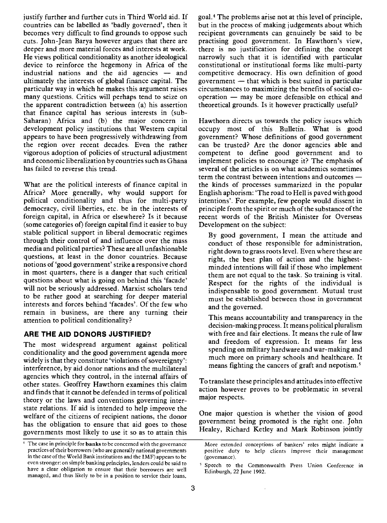justify further and further cuts in Third World aid. If countries can be labelled as 'badly governed', then it becomes very difficult to find grounds to oppose such cuts. John-Jean Barya however argues that there are deeper and more material forces and interests at work. He views political conditionality as another ideological device to reinforce the hegemony in Africa of the industrial nations and the aid agencies - and ultimately the interests of global finance capital. The particular way in which he makes this argument raises many questions. Critics will perhaps tend to seize on the apparent contradiction between (a) his assertion that finance capital has serious interests in (sub-Saharan) Africa and (b) the major concern in development policy institutions that Western capital appears to have been progressively withdrawing from the region over recent decades. Even the rather vigorous adoption of policies of structural adjustment and economic liberalization by countries such as Ghana has failed to reverse this trend.

What are the political interests of finance capital in Africa? More generally, why would support for political conditionality and thus for multi-party democracy, civil liberties, etc. be in the interests of foreign capital, in Africa or elsewhere? Is it because (some categories of) foreign capital find it easier to buy stable political support in liberal democratic regimes through their control of and influence over the mass media and political parties? These are all unfashionable questions, at least in the donor countries. Because notions of 'good government' strike a responsive chord in most quarters, there is a danger that such critical questions about what is going on behind this 'facade' will not be seriously addressed. Marxist scholars tend to be rather good at searching for deeper material interests and forces behind 'facades'. Of the few who remain in business, are there any turning their attention to political conditionality?

# ARE THE AID DONORS JUSTIFIED?

The most widespread argument against political conditionality and the good government agenda more widely is that they constitute 'violations of sovereignty': interference, by aid donor nations and the multilateral agencies which they control, in the internal affairs of other states. Geoffrey Hawthorn examines this claim and finds that it cannot be defended in terms of political theory or the laws and conventions governing interstate relations. If aid is intended to help improve the welfare of the citizens of recipient nations, the donor has the obligation to ensure that aid goes to those governments most likely to use it so as to attain this

goal.<sup>4</sup> The problems arise not at this level of principle, but in the process of making judgements about which recipient governments can genuinely be said to be practising good government. In Hawthorn's view, there is no justification for defining the concept narrowly such that it is identified with particular constitutional or institutional forms like multi-party competitive democracy. His own definition of good government  $-$  that which is best suited in particular circumstances to maximizing the benefits of social co $o$  peration  $-$  may be more defensible on ethical and theoretical grounds. Is it however practically useful?

Hawthorn directs us towards the policy issues which occupy most of this Bulletin. What is good government? Whose definitions of good government can be trusted? Are the donor agencies able and competent to define good government and to implement policies to encourage it? The emphasis of several of the articles is on what academics sometimes term the contrast between intentions and outcomes the kinds of processes summarized in the popular English aphorism: 'The road to Hell is paved with good intentions'. For example, few people would dissent in principle from the spirit or much of the substance of the recent words of the British Minister for Overseas Development on the subject:

By good government, I mean the attitude and conduct of those responsible for administration, right down to grass roots level. Even where these are right, the best plan of action and the highestminded intentions will fail if those who implement them are not equal to the task. So training is vital. Respect for the rights of the individual is indispensable to good government. Mutual trust must be established between those in government and the governed.

This means accountability and transparency in the decision-making process. It means political pluralism with free and fair elections. It means the rule of law and freedom of expression. It means far less spending on military hardware and war-making and much more on primary schools and healthcare. It means fighting the cancers of graft and nepotism.5

To translate these principles and attitudes into effective action however proves to be problematic in several major respects.

One major question is whether the vision of good government being promoted is the right one. John Healey, Richard Ketley and Mark Robinson jointly

<sup>&</sup>lt;sup>4</sup> The case in principle for **banks** to be concerned with the governance practices of their borrowers (who are generally national governments in the case of the World Bank institutions and the IMF) appears to be even stronger: on simple banking principles, lenders could be said to have a clear obligation to ensure that their borrowers are well managed, and thus likely to be in a position to service their loans.

More extended conceptions of bankers' roles might indicate a positive duty to help clients improve their management (governance).

<sup>&</sup>lt;sup>5</sup> Speech to the Commonwealth Press Union Conference in Edinburgh, 22 June 1992.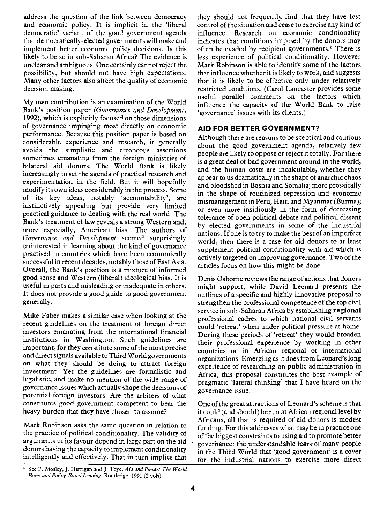address the question of the link between democracy and economic policy. It is implicit in the 'liberal democratic' variant of the good government agenda that democratically-elected governments will make and implement better economic policy decisions. Is this likely to be so in sub-Saharan Africa? The evidence is unclear and ambiguous. One certainly cannot reject the possibility, but should not have high expectations. Many other factors also affect the quality of economic decision making.

My own contribution is an examination of the World Bank's position paper (Governance and Development, 1992), which is explicitly focused on those dimensions of governance impinging most directly on economic performance. Because this position paper is based on considerable experience and research, it generally avoids the simplistic and erroneous assertions sometimes emanating from the foreign ministries of bilateral aid donors. The World Bank is likely increasingly to set the agenda of practical research and experimentation in the field. But it will hopefully modify its own ideas considerably in the process. Some of its key ideas, notably 'accountability', are instinctively appealing but provide very limited practical guidance to dealing with the real world. The Bank's treatment of law reveals a strong Western and, more especially, American bias. The authors of Governance and Development seemed surprisingly uninterested in learning about the kind of governance practised in countries which have been economically successful in recent decades, notably those of East Asia. Overall, the Bank's position is a mixture of informed good sense and Western (liberal) ideological bias. It is useful in parts and misleading or inadequate in others. It does not provide a good guide to good government generally.

Mike Faber makes a similar case when looking at the recent guidelines on the treatment of foreign direct investors emanating from the international financial institutions in Washington. Such guidelines are important, for they constitute some of the most precise and direct signals available to Third World governments on what they should be doing to attract foreign investment. Yet the guidelines are formalistic and legalistic, and make no mention of the wide range of governance issues which actually shape the decisions of potential foreign investors. Are the arbiters of what constitutes good government competent to bear the heavy burden that they have chosen to assume?

Mark Robinson asks the same question in relation to the practice of political conditionality. The validity of arguments in its favour depend in large part on the aid donors having the capacity to implement conditionality intelligently and effectively. That in turn implies that

they should not frequently. find that they have lost control of the situation and cease to exercise any kind of influence. Research on economic conditionality indicates that conditions imposed by the donors may often be evaded by recipient governments.6 There is less experience of political conditionality. However Mark Robinson is able to identify some of the factors that influence whether it is likely to work, and suggests that it is likely to be effective only under relatively restricted conditions. (Carol Lancaster provides some useful parallel comments on the factors which influence the capacity of the World Bank to raise 'governance' issues with its clients.)

## AID FOR BETTER GOVERNMENT?

Although there are reasons to be sceptical and cautious about the good government agenda, relatively few people are likely to oppose or reject it totally. For there is a great deal of bad government around in the world, and the human costs are incalculable, whether they appear to us dramatically in the shape of anarchic chaos and bloodshed in Bosnia and Somalia; more prosaically in the shape of routinized repression and economic mismanagement in Peru, Haiti and Myanmar (Burma); or even more insidiously in the form of decreasing tolerance of open political debate and political dissent by elected governments in some of the industrial nations. If one is to try to make the best of an imperfect world, then there is a case for aid donors to at least supplement political conditionality with aid which is actively targeted on improving governance. Two of the articles focus on how this might be done.

Denis Osborne reviews the range of actions that donors might support, while David Leonard presents the outlines of a specific and highly innovative proposal to strengthen the professional competence of the top civil service in sub-Saharan Africa by establishing regional professional cadres to which national civil servants could 'retreat' when under political pressure at home. During these periods of 'retreat' they would broaden their professional experience by working in other countries or in African regional or international organizations. Emerging as it does from Leonard's long experience of researching on public administration in Africa, this proposal constitutes the best example of pragmatic 'lateral thinking' that I have heard on the governance issue.

One of the great attractions of Leonard's scheme is that it could (and should) be run at African regional level by Africans; all that is required of aid donors is modest funding. For this addresses what may be in practice one of the biggest constraints to using aid to promote better governance: the understandable fears of many people in the Third World that 'good government' is a cover for the industrial nations to exercise more direct

<sup>&</sup>lt;sup>6</sup> See P. Mosley, J. Harrigan and J. Toye, Aid and Power: The World Bank and Policy-Based Lending, Routledge, 1991 (2 vols).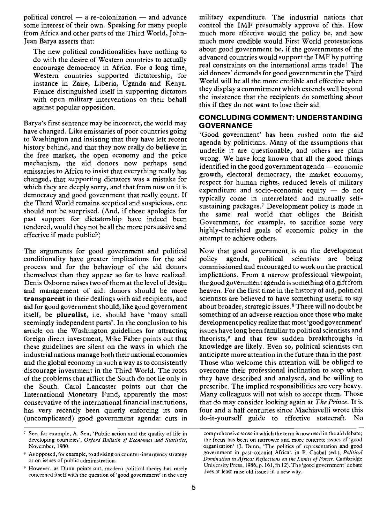political control  $-$  a re-colonization  $-$  and advance some interest of their own. Speaking for many people from Africa and other parts of the Third World, John-Jean Barya asserts that:

The new political conditionalities have nothing to do with the desire of Western countries to actually encourage democracy in Africa. For a long time, Western countries supported dictatorship, for instance in Zaire, Liberia, Uganda and Kenya. France distinguished itself in supporting dictators with open military interventions on their behalf against popular opposition.

Barya's first sentence may be incorrect; the world may have changed. Like emissaries of poor countries going to Washington and insisting that they have left recent history behind, and that they now really do believe in the free market, the open economy and the price mechanism, the aid donors now perhaps send emissaries to Africa to insist that everything really has changed, that supporting dictators was a mistake for which they are deeply sorry, and that from now on it is democracy and good government that really count. If the Third World remains sceptical and suspicious, one should not be surprised. (And, if those apologies for past support for dictatorship have indeed been tendered, would they not be all the more persuasive and effective if made public?)

The arguments for good government and political conditionality have greater implications for the aid process and for the behaviour of the aid donors themselves than they appear so far to have realized. Denis Osborne raises two of them at the level of design and management of aid: donors should be more transparent in their dealings with aid recipients, and aid for good government should, like good government itself, be pluralist, i.e. should have 'many small seemingly independent parts'. In the conclusion to his article on the Washington guidelines for attracting foreign direct investment, Mike Faber points out that these guidelines are silent on the ways in which the industrial nations manage both their national economies and the global economy in such a way as to consistently discourage investment in the Third World. The roots of the problems that afflict the South do not lie only in the South. Carol Lancaster points out that the International Monetary Fund, apparently the most conservative of the international financial institutions, has very recently been quietly enforcing its own (uncomplicated) good government agenda: cuts in

military expenditure. The industrial nations that control the IMF presumably approve of this. How much more effective would the policy be, and how much more credible would First World protestations about good government be, if the governments of the advanced countries would support the IMF by putting real constraints on the international arms trade! The aid donors' demands for good government in the Third World will be all the more credible and effective when they display a commitment which extends well beyond the insistence that the recipients do something about this if they do not want to lose their aid.

### CONCLUDING COMMENT: UNDERSTANDING **GOVERNANCE**

'Good government' has been rushed onto the aid agenda by politicians. Many of the assumptions that underlie it are questionable, and others are plain wrong. We have long known that all the good things identified in the good government agenda  $-$  economic growth, electoral democracy, the market economy, respect for human rights, reduced levels of military expenditure and socio-economic equity  $-$  do not typically come in interrelated and mutually selfsustaining packages.7 Development policy is made in the same real world that obliges the British Government, for example, to sacrifice some very highly-cherished goals of economic policy in the attempt to achieve others.

Now that good government is on the development<br>policy agenda, political scientists are being policy agenda, political scientists are being commissioned and encouraged to work on the practical implications. From a narrow professional viewpoint, the good government agenda is something of a gift from heaven. For the first time in the history of aid, political scientists are believed to have something useful to say about broader, strategic issues.8 There will no doubt be something of an adverse reaction once those who make development policy realize that most 'good government' issues have long been familiar to political scientists and theorists,9 and that few sudden breakthroughs in knowledge are likely. Even so, political scientists can anticipate more attention in the future than in the past. Those who welcome this attention will be obliged to overcome their professional inclination to stop when they have described and analysed, and be willing to prescribe. The implied responsibilities are very heavy. Many colleagues will not wish to accept them. Those that do may consider looking again at The Prince. It is four and a half centuries since Machiavelli wrote this do-it-yourself guide to effective statecraft. No

<sup>&</sup>lt;sup>7</sup> See, for example, A. Sen, 'Public action and the quality of life in developing countries', Oxford Bulletin of Economics and Statistics, November, 1980.

As opposed, for example, to advising on counter-insurgency strategy or on issues of public administration.

However, as Dunn points out, modern political theory has rarely concerned itself with the question of 'good government' in the very

comprehensive sense in which the term is now used in the aid debate; the focus has been on narrower and more concrete issues of 'good organization' (J. Dunn, 'The politics of representation and good government in post-colonial Africa', in P. Chabal (ed), Political Domination in Africa; Reflections on the Limits of Power, Cambridge University Press, 1986, p. 161, fn 12). The 'good government' debate does at least raise old issues in a new way.